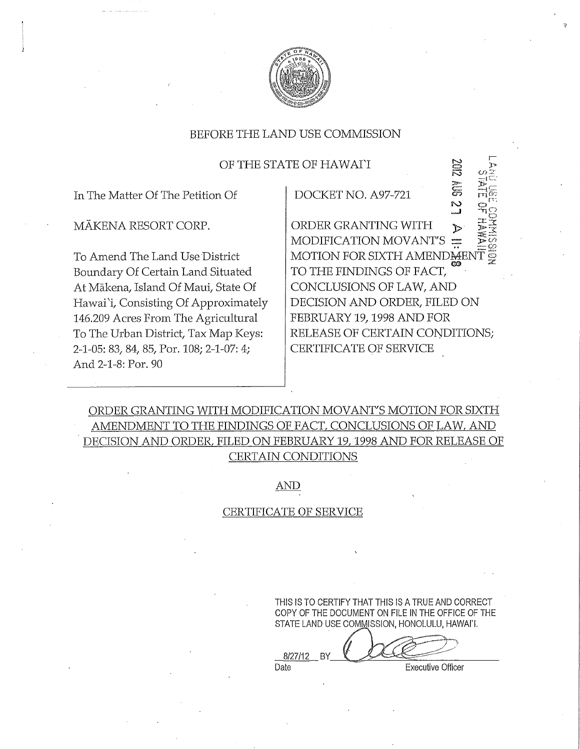

### OF THE STATE OF HAWAI'I

In The Matter Of The Petition Of

MAKENA RESORT CORP.

To Amend The Land Use District Boundary Of Certain Land Situated At Mākena, Island Of Maui, State Of Hawai'i, Consisting Of Approximately 146.209 Acres From The Agricultural To The Urban District, Tax Map Keys: 2-1-05: 83, 84, 85, Por. 108; 2-1-07: 4; And 2-1-8: Por. 90

DOCKET NO. A97-721

 $\mathbb{Z}$  as ORDER GRANTING WITH MODIFICATION MOVANT'S MOTION FOR SIXTH AMENDIAEN TO THE FINDINGS OF FACT, CONCLUSIONS OF LAW, AND DECISION AND ORDER, FILED ON FEBRUARY 19, 1998 AND FOR RELEASE OF CERTAIN CONDITIONS; CERTIFICATE OF SERVICE

 $\overline{V}$ 

 $\Xi^ ^{\mathrm{r}}$  $\omega$  :: >! 12".':."

ri<br>Q

## ORDER GRANTING WITH MODIFICATION MOVANT'S MOTION FOR SIXTH AMENDMENT TO THE FINDINGS OF FACT, CONCLUSIONS OF LAW, AND DECISION AND ORDER, FILED ON FEBRUARY 19, 1998 AND FOR RELEASE OF CERTAIN CONDITIONS

AND

#### CERTIFICATE OF SERVICE

THIS IS TO CERTIFY THAT THIS IS A TRUE AND CORRECT COPY OF THE DOCUMENT ON FILE IN THE OFFICE OF THE STATE LAND USE COMMISSION, HONOLULU, HAWAI'I.

 $8/27/12$  BY  $L$ 

Date **Executive Officer**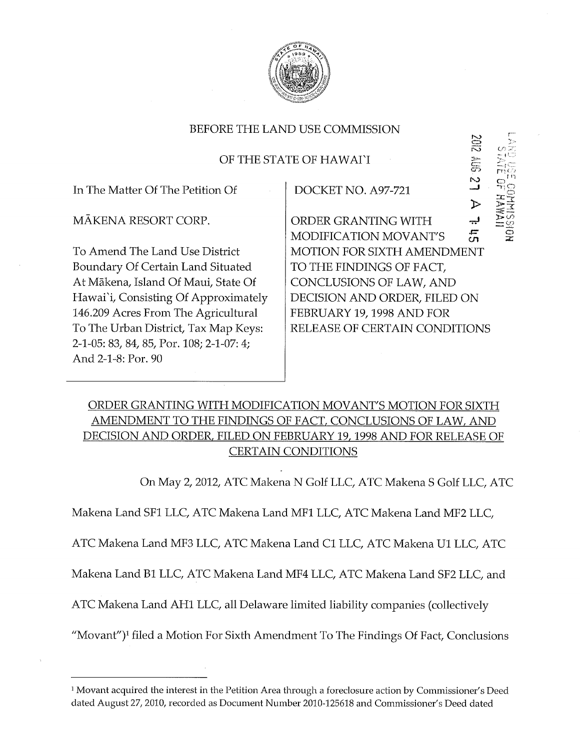

## OF THE STATE OF HAWAI'I

In The Matter Of The Petition Of

MAKENA RESORT CORP.

To Amend The Land Use District Boundary Of Certain Land Situated At Mākena, Island Of Maui, State Of Hawai'i, Consisting Of Approximately 146.209 Acres From The Agricultural To The Urban District, Tax Map Keys: 2-1-05: 83, 84, 85, Por. 108; 2-1-07: 4; And 2-1-8: Por. 90

DOCKET NO. A97-721

ORDER GRANTING WITH .ÿ. MODIFICATION MOVANT'S  $\overline{a}$ MOTION FOR SIXTH AMENDMENT TO THE FINDINGS OF FACT, CONCLUSIONS OF LAW, AND DECISION AND ORDER, FILED ON FEBRUARY 19, 1998 AND FOR RELEASE OF CERTAIN CONDITIONS

SON SIDS

 $\Xi_t$  $\Gamma^{\rm eq}$ i  $\bullet$  $\Xi$ o

 $\circ$ 

 $\overline{2}$ 

>

## ORDER GRANTING WITH MODIFICATION MOVANT'S MOTION FOR SIXTH AMENDMENT TO THE FINDINGS OF FACT, CONCLUSIONS OF LAW, AND DECISION AND ORDER, FILED ON FEBRUARY 19, 1998 AND FOR RELEASE OF CERTAIN CONDITIONS

On May 2, 2012, ATC Makena N Golf LLC, ATC Makena S Golf LLC, ATC

Makena Land SF1 LLC, ATC Makena Land MF1 LLC, ATC Makena Land MF2 LLC,

ATC Makena Land MF3 LLC, ATC Makena Land C1 LLC, ATC Makena U1 LLC, ATC

Makena Land B1 LLC, ATC Makena Land MF4 LLC, ATC Makena Land SF2 LLC, and

ATC Makena Land AH1 LLC, all Delaware limited liability companies (collectively

"Movant")<sup>1</sup> filed a Motion For Sixth Amendment To The Findings Of Fact, Conclusions

<sup>&</sup>lt;sup>1</sup> Movant acquired the interest in the Petition Area through a foreclosure action by Commissioner's Deed dated August 27, 2010, recorded as Document Number 2010-125618 and Commissioner's Deed dated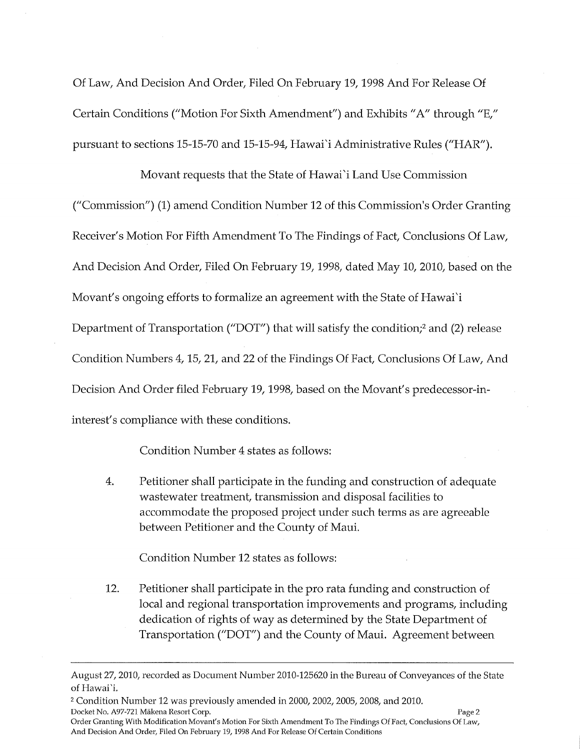Of Law, And Decision And Order, Filed On February 19, 1998 And For Release Of Certain Conditions ("Motion For Sixth Amendment") and Exhibits "A" through "E," pursuant to sections 15-15-70 and 15-15-94, Hawai'i Administrative Rules ("HAR").

Movant requests that the State of Hawai'i Land Use Commission ("Commission") (1) amend Condition Number 12 of this Commission's Order Granting Receiver's Motion For Fifth Amendment To The Findings of Fact, Conclusions Of Law, And Decision And Order, Filed On February 19, 1998, dated May 10, 2010, based on the Movant's ongoing efforts to formalize an agreement with the State of Hawai'i Department of Transportation ("DOT") that will satisfy the condition;<sup>2</sup> and (2) release Condition Numbers 4, 15, 21, and 22 of the Findings Of Fact, Conclusions Of Law, And Decision And Order filed February 19, 1998, based on the Movant's predecessor-ininterest's compliance with these conditions.

Condition Number 4 states as follows:

4. Petitioner shall participate in the funding and construction of adequate wastewater treatment, transmission and disposal facilities to accommodate the proposed project under such terms as are agreeable between Petitioner and the County of Maui.

Condition Number 12 states as follows:

12. Petitioner shall participate in the pro rata funding and construction of local and regional transportation improvements and programs, including dedication of rights of way as determined by the State Department of Transportation ("DOT") and the County of Maui. Agreement between

August 27, 2010, recorded as Document Number 2010-125620 in the Bureau of Conveyances of the State of Hawai'i.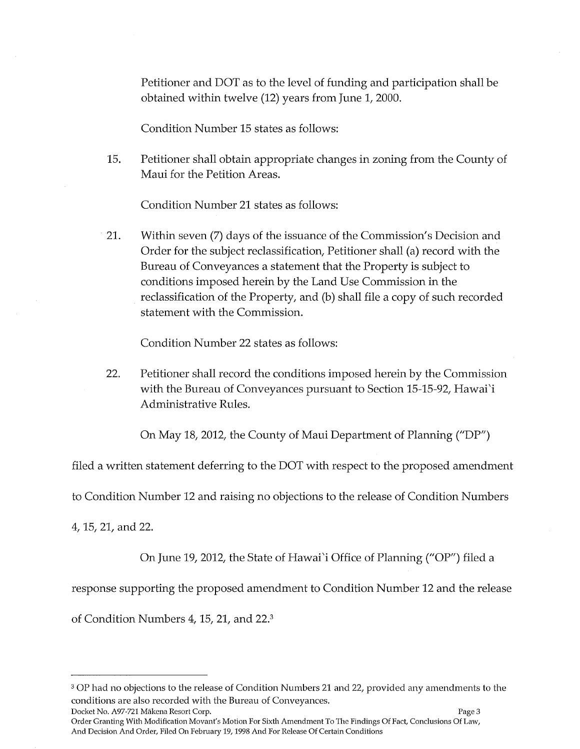Petitioner and DOT as to the level of funding and participation shall be obtained within twelve (12) years from June 1, 2000.

Condition Number 15 states as follows:

15. Petitioner shall obtain appropriate changes in zoning from the County of Maui for the Petition Areas.

Condition Number 21 states as follows:

21. Within seven (7) days of the issuance of the Commission's Decision and Order for the subject reclassification, Petitioner shall (a) record with the Bureau of Conveyances a statement that the Property is subject to conditions imposed herein by the Land Use Commission in the reclassification of the Property, and (b) shall file a copy of such recorded statement with the Commission.

Condition Number 22 states as follows:

22. Petitioner shall record the conditions imposed herein by the Commission with the Bureau of Conveyances pursuant to Section 15-15-92, Hawai'i Administrative Rules.

On May 18, 2012, the County of Maui Department of Planning ("DP')

filed a written statement deferring to the DOT with respect to the proposed amendment

to Condition Number 12 and raising no objections to the release of Condition Numbers

4, 15, 21, and 22.

On June 19, 2012, the State of Hawai'i Office of Planning ("OP') filed a

response supporting the proposed amendment to Condition Number 12 and the release

of Condition Numbers 4, 15, 21, and 22.3

<sup>&</sup>lt;sup>3</sup> OP had no objections to the release of Condition Numbers 21 and 22, provided any amendments to the conditions are also recorded with the Bureau of Conveyances. Docket No. A97-721 Mÿkena Resort Corp. Page 3

Order Granting With Modification Movant's Motion For Sixth Amendment To The Findings Of Fact, Conclusions Of Law, And Decision And Order, Filed On February 19, 1998 And For Release Of Certain Conditions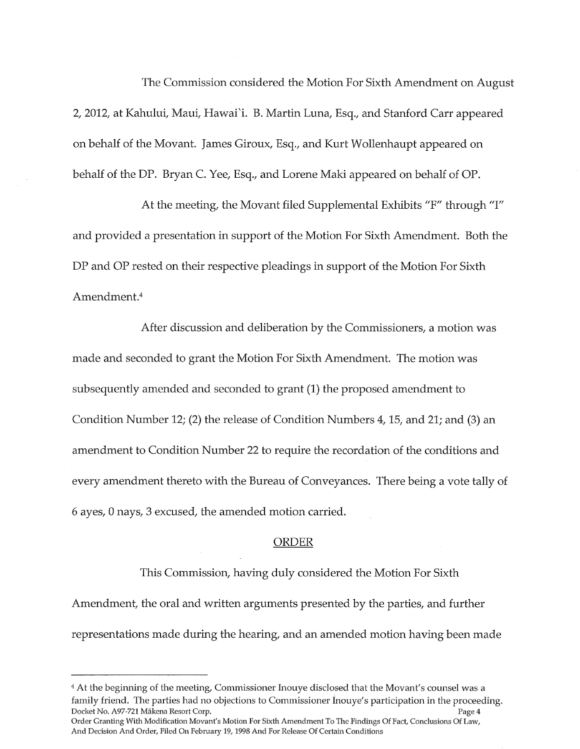The Commission considered the Motion For Sixth Amendment on August 2, 2012, at Kahului, Maui, Hawai'i. B. Martin Luna, Esq., and Stanford Carr appeared on behalf of the Movant. James Giroux, Esq., and Kurt Wollenhaupt appeared on behalf of the DP. Bryan C. Yee, Esq., and Lorene Maki appeared on behalf of OP.

At the meeting, the Movant filed Supplemental Exhibits "F" through "I" and provided a presentation in support of the Motion For Sixth Amendment. Both the DP and OP rested on their respective pleadings in support of the Motion For Sixth Amendment.<sup>4</sup>

After discussion and deliberation by the Commissioners, a motion was made and seconded to grant the Motion For Sixth Amendment. The motion was subsequently amended and seconded to grant (1) the proposed amendment to Condition Number 12; (2) the release of Condition Numbers 4, 15, and 21; and (3) an amendment to Condition Number 22 to require the recordation of the conditions and every amendment thereto with the Bureau of Conveyances. There being a vote tally of 6 ayes, 0 nays, 3 excused, the amended motion carried.

#### ORDER

This Commission, having duly considered the Motion For Sixth Amendment, the oral and written arguments presented by the parties, and further representations made during the hearing, and an amended motion having been made

<sup>4</sup> At the beginning of the meeting, Commissioner Inouye disclosed that the Movant's counsel was a family friend. The parties had no objections to Commissioner Inouye's participation in the proceeding. Docket No. A97-721 Mÿkena Resort Corp. Page 4 Order Granting With Modification Movant's Motion For Sixth Amendment To The Findings Of Fact, Conclusions Of Law,

And Decision And Order, Filed On February 19, 1998 And For Release Of Certain Conditions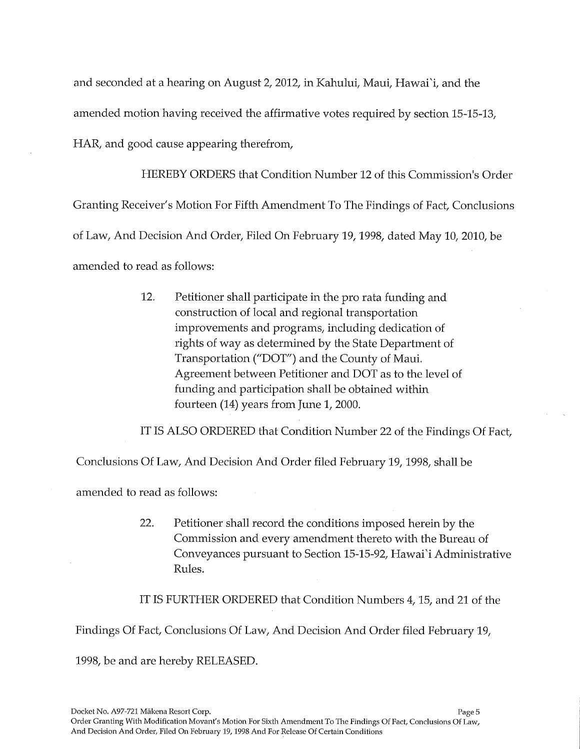and seconded at a hearing on August 2, 2012, in Kahului, Maui, Hawai'i, and the amended motion having received the affirmative votes required by section 15-15-13, HAR, and good cause appearing therefrom,

HEREBY ORDERS that Condition Number 12 of this Commission's Order Granting Receiver's Motion For Fifth Amendment To The Findings of Fact, Conclusions of Law, And Decision And Order, Filed On February 19, 1998, dated May 10, 2010, be amended to read as follows:

> 12. Petitioner shall participate in the pro rata funding and construction of local and regional transportation improvements and programs, including dedication of rights of way as determined by the State Department of Transportation ("DOT") and the County of Maui. Agreement between Petitioner and DOT as to the level of funding and participation shall be obtained within fourteen (14) years from June 1, 2000.

IT IS ALSO ORDERED that Condition Number 22 of the Findings Of Fact,

Conclusions Of Law, And Decision And Order filed February 19, 1998, shall be

amended to read as follows:

22. Petitioner shall record the conditions imposed herein by the Commission and every amendment thereto with the Bureau of Conveyances pursuant to Section 15-15-92, Hawai'i Administrative Rules.

IT IS FURTHER ORDERED that Condition Numbers 4, 15, and 21 of the

Findings Of Fact, Conclusions Of Law, And Decision And Order filed February 19,

1998, be and are hereby RELEASED.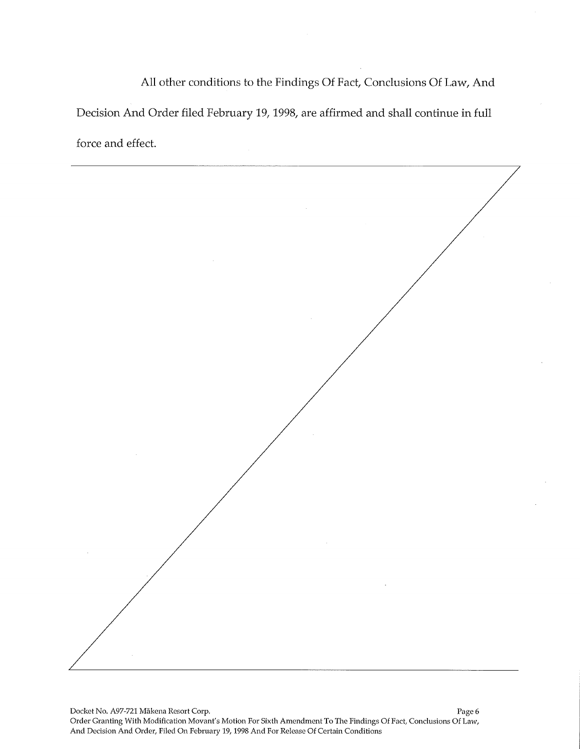All other conditions to the Findings Of Fact, Conclusions Of Law, And Decision And Order filed February 19, 1998, are affirmed and shall continue in full force and effect.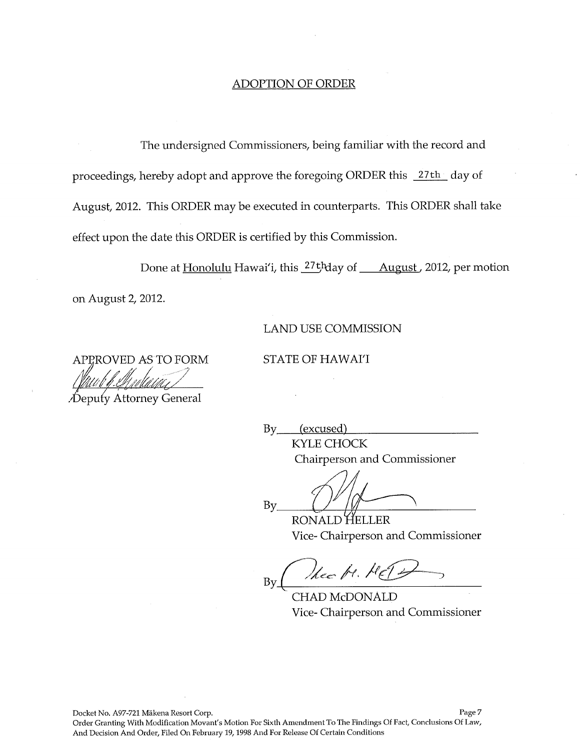#### ADOPTION OF ORDER

The undersigned Commissioners, being familiar with the record and proceedings, hereby adopt and approve the foregoing ORDER this 27th day of August, 2012. This ORDER may be executed in counterparts. This ORDER shall take effect upon the date this ORDER is certified by this Commission.

Done at Honolulu Hawai'i, this <sup>27th</sup>day of August, 2012, per motion on August 2, 2012.

#### LAND USE COMMISSION

STATE OF HAWAI'I

ROVED AS TO FORM

• Depu(y Jkttorney General

By (excused) KYLE CHOCK

Chairperson and Commissioner

 $By$ 

Vice- Chairperson and Commissioner

thee be. He Βy

CHAD McDONALD Vice- Chairperson and Commissioner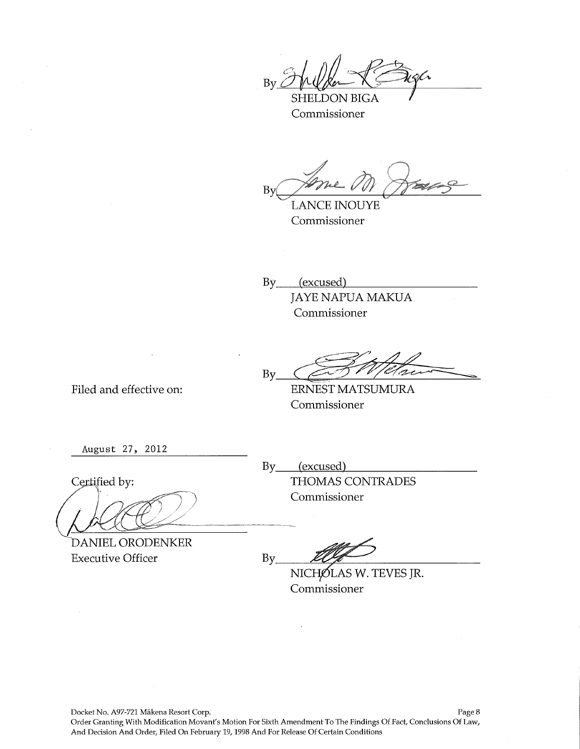$By$ 

SHELDON BIGA Commissioner

By Jame M

LANCE INOUYE Commissioner

By (excused) JAYE NAPUA MAKUA Commissioner

By

Filed and effective on:

ERNEST MATSUMURA Commissioner

August 27, 2012

Certified by:

DANIEL ORODENKER

Executive Officer

By<sub>\_\_\_\_</sub>(excused) THOMAS CONTRADES Commissioner

 $By$ 

NICHOLAS W. TEVES JR. Commissioner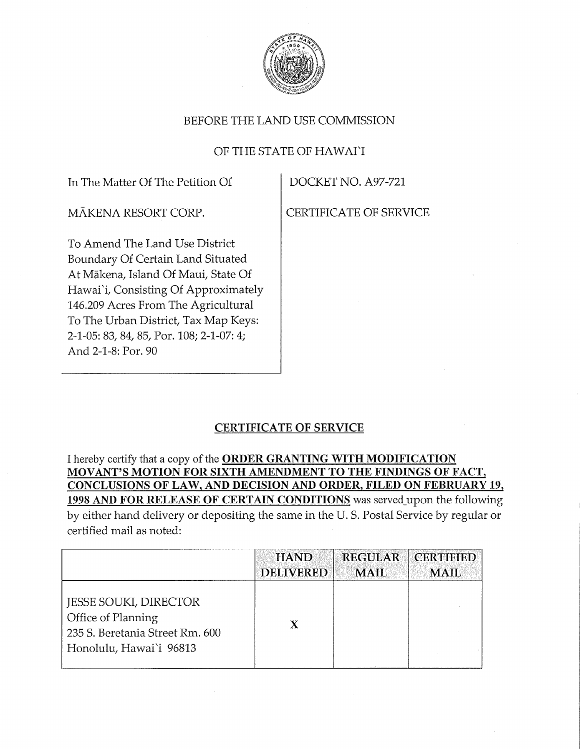

## OF THE STATE OF HAWAI'I

In The Matter Of The Petition Of  $\qquad$  DOCKET NO. A97-721

MĀKENA RESORT CORP. CERTIFICATE OF SERVICE

To Amend The Land Use District Boundary Of Certain Land Situated At Mākena, Island Of Maui, State Of Hawai'i, Consisting Of Approximately 146.209 Acres From The Agricultural To The Urban District, Tax Map Keys: 2-1-05: 83, 84, 85, Por. 108; 2-1-07: 4; And 2-1-8: Por. 90

# CERTIFICATE OF SERVICE

I hereby certify that a copy of the ORDER GRANTING WITH MODIFICATION MOVANT'S MOTION FOR SIXTH AMENDMENT TO THE FINDINGS OF FACT, CONCLUSIONS OF LAW, AND DECISION AND ORDER, FILED ON FEBRUARY 19, 1998 AND FOR RELEASE OF CERTAIN CONDITIONS was served\_upon the following by either hand delivery or depositing the same in the U. S. Postal Service by regular or certified mail as noted:

|                                                                                                                  | <b>HAND</b>      | <b>REGULAR</b> | <b>CERTIFIED</b> |
|------------------------------------------------------------------------------------------------------------------|------------------|----------------|------------------|
|                                                                                                                  | <b>DELIVERED</b> | <b>MAIL</b>    | <b>MAIL</b>      |
| <b>JESSE SOUKI, DIRECTOR</b><br>Office of Planning<br>235 S. Beretania Street Rm. 600<br>Honolulu, Hawai'i 96813 | X                |                |                  |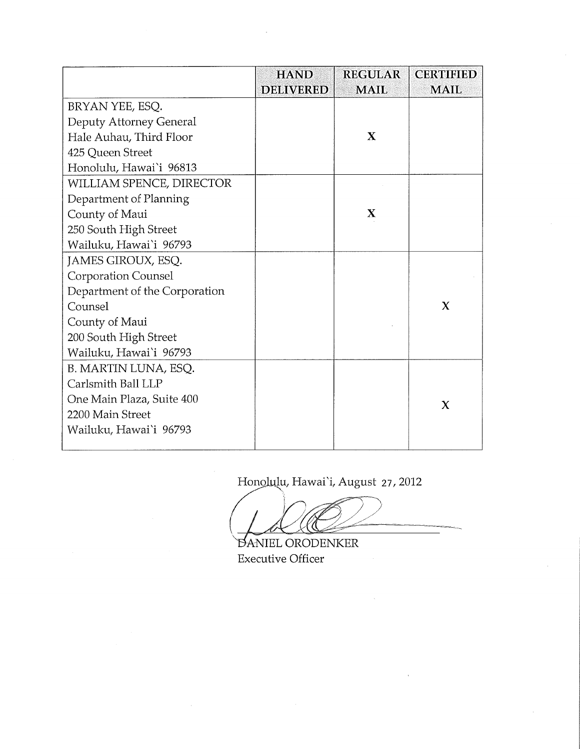|                               | <b>HAND</b>      | <b>REGULAR</b> | <b>CERTIFIED</b> |
|-------------------------------|------------------|----------------|------------------|
|                               | <b>DELIVERED</b> | <b>MAIL</b>    | <b>MAIL</b>      |
| BRYAN YEE, ESQ.               |                  |                |                  |
| Deputy Attorney General       |                  |                |                  |
| Hale Auhau, Third Floor       |                  | X              |                  |
| 425 Queen Street              |                  |                |                  |
| Honolulu, Hawai'i 96813       |                  |                |                  |
| WILLIAM SPENCE, DIRECTOR      |                  |                |                  |
| Department of Planning        |                  |                |                  |
| County of Maui                |                  | X              |                  |
| 250 South High Street         |                  |                |                  |
| Wailuku, Hawai'i 96793        |                  |                |                  |
| JAMES GIROUX, ESQ.            |                  |                |                  |
| <b>Corporation Counsel</b>    |                  |                |                  |
| Department of the Corporation |                  |                |                  |
| Counsel                       |                  |                | $\mathbf x$      |
| County of Maui                |                  |                |                  |
| 200 South High Street         |                  |                |                  |
| Wailuku, Hawai'i 96793        |                  |                |                  |
| B. MARTIN LUNA, ESQ.          |                  |                |                  |
| Carlsmith Ball LLP            |                  |                |                  |
| One Main Plaza, Suite 400     |                  |                | $\mathbf x$      |
| 2200 Main Street              |                  |                |                  |
| Wailuku, Hawai'i 96793        |                  |                |                  |
|                               |                  |                |                  |

Honolulu, Hawai'i, August 27, 2012

DANIEL ORODENKER Executive Officer